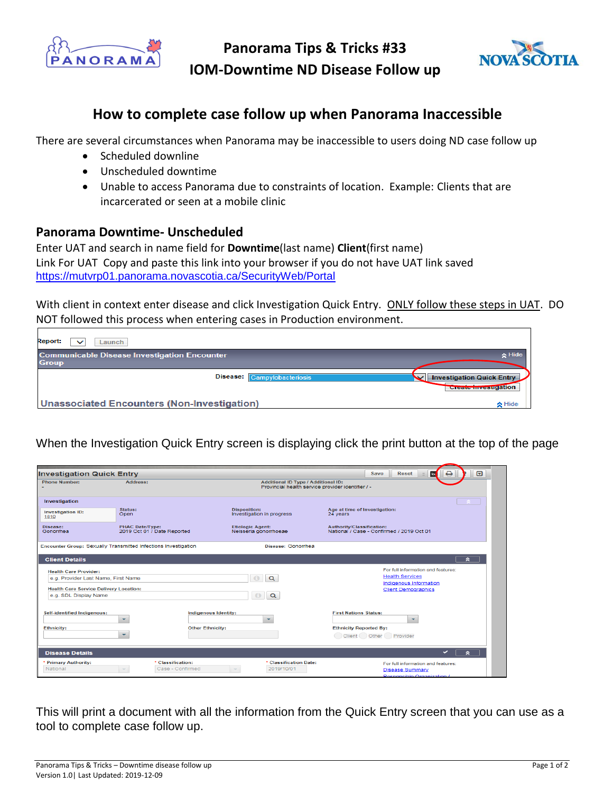

**Panorama Tips & Tricks #33 IOM-Downtime ND Disease Follow up** 



## **How to complete case follow up when Panorama Inaccessible**

There are several circumstances when Panorama may be inaccessible to users doing ND case follow up

- Scheduled downline
- Unscheduled downtime
- Unable to access Panorama due to constraints of location. Example: Clients that are incarcerated or seen at a mobile clinic

## **Panorama Downtime- Unscheduled**

Enter UAT and search in name field for **Downtime**(last name) **Client**(first name) Link For UAT Copy and paste this link into your browser if you do not have UAT link saved https://mutvrp01.panorama.novascotia.ca/SecurityWeb/Portal

With client in context enter disease and click Investigation Quick Entry. ONLY follow these steps in UAT. DO NOT followed this process when entering cases in Production environment.

| <b>Report:</b><br>Launch<br>$\checkmark$                            |                                                                                                                                                                                                                                                                                                       |
|---------------------------------------------------------------------|-------------------------------------------------------------------------------------------------------------------------------------------------------------------------------------------------------------------------------------------------------------------------------------------------------|
| <b>Communicable Disease Investigation Encounter</b><br><b>Group</b> | $\triangle$ Hide                                                                                                                                                                                                                                                                                      |
| Disease: Campylobacteriosis                                         | <b>Investigation Quick Entry</b><br>◡<br><u>The Company of the Company of the Company of the Company of the Company of the Company of the Company of the Company of the Company of the Company of the Company of the Company of the Company of the Company of the Company</u><br>Greate investigation |
| <b>Unassociated Encounters (Non-Investigation)</b>                  | $\triangle$ Hide                                                                                                                                                                                                                                                                                      |

When the Investigation Quick Entry screen is displaying click the print button at the top of the page

| ⊡<br>⊖<br><b>Investigation Quick Entry</b><br><b>Io</b><br><b>Reset</b><br>Save      |                                                       |                                                                                                 |                                                                        |  |
|--------------------------------------------------------------------------------------|-------------------------------------------------------|-------------------------------------------------------------------------------------------------|------------------------------------------------------------------------|--|
| <b>Phone Number:</b>                                                                 | Address:                                              | <b>Additional ID Type / Additional ID:</b><br>Provincial health service provider identifier / - |                                                                        |  |
| Investigation                                                                        |                                                       |                                                                                                 |                                                                        |  |
| <b>Investigation ID:</b><br>1810                                                     | Status:<br>Open                                       | <b>Disposition:</b><br>Investigation in progress                                                | Age at time of Investigation:<br>24 years                              |  |
| Disease:<br>Gonorrhea                                                                | <b>PHAC Date/Type:</b><br>2019 Oct 01 / Date Reported | <b>Etiologic Agent:</b><br>Neisseria gonorrhoeae                                                | Authority/Classification:<br>National / Case - Confirmed / 2019 Oct 01 |  |
| Encounter Group: Sexually Transmitted Infections Investigation<br>Disease: Gonorrhea |                                                       |                                                                                                 |                                                                        |  |
| <b>Client Details</b>                                                                |                                                       |                                                                                                 | $\hat{z}$                                                              |  |
| <b>Health Care Provider:</b>                                                         |                                                       |                                                                                                 | For full information and features:                                     |  |
| e.g. Provider Last Name, First Name                                                  |                                                       | $\bigoplus$<br>$\alpha$                                                                         | <b>Health Services</b><br>Indigenous Information                       |  |
| <b>Health Care Service Delivery Location:</b>                                        |                                                       |                                                                                                 | <b>Client Demographics</b>                                             |  |
| e.g. SDL Display Name                                                                |                                                       | $\bigoplus$<br>$\alpha$                                                                         |                                                                        |  |
| Self-identified Indigenous:                                                          | Indigenous Identity:<br>۰                             | $\overline{\phantom{a}}$                                                                        | <b>First Nations Status:</b><br>$\overline{\phantom{a}}$               |  |
| <b>Ethnicity:</b>                                                                    | <b>Other Ethnicity:</b>                               |                                                                                                 | <b>Ethnicity Reported By:</b>                                          |  |
|                                                                                      | ۰                                                     |                                                                                                 | Client Other Provider                                                  |  |
| <b>Disease Details</b>                                                               |                                                       |                                                                                                 | ✓<br>$\sim$                                                            |  |
| <b>Primary Authority:</b>                                                            | * Classification:                                     | * Classification Date:                                                                          | For full information and features:                                     |  |
| National                                                                             | Case - Confirmed                                      | 2019/10/01                                                                                      | <b>Disease Summary</b>                                                 |  |
|                                                                                      |                                                       |                                                                                                 | Responsible Organization /                                             |  |

This will print a document with all the information from the Quick Entry screen that you can use as a tool to complete case follow up.